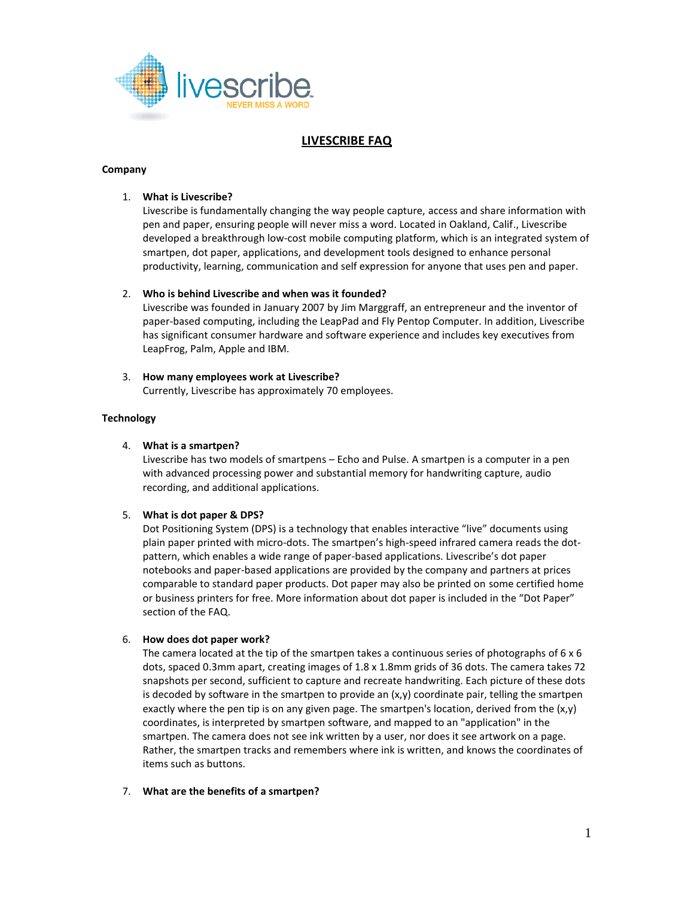

# **LIVESCRIBE FAQ**

#### **Company**

## 1. **What is Livescribe?**

Livescribe is fundamentally changing the way people capture, access and share information with pen and paper, ensuring people will never miss a word. Located in Oakland, Calif., Livescribe developed a breakthrough low-cost mobile computing platform, which is an integrated system of smartpen, dot paper, applications, and development tools designed to enhance personal productivity, learning, communication and self expression for anyone that uses pen and paper.

## 2. **Who is behind Livescribe and when was it founded?**

Livescribe was founded in January 2007 by Jim Marggraff, an entrepreneur and the inventor of paper-based computing, including the LeapPad and Fly Pentop Computer. In addition, Livescribe has significant consumer hardware and software experience and includes key executives from LeapFrog, Palm, Apple and IBM.

## 3. **How many employees work at Livescribe?**

Currently, Livescribe has approximately 70 employees.

## **Technology**

## 4. **What is a smartpen?**

Livescribe has two models of smartpens – Echo and Pulse. A smartpen is a computer in a pen with advanced processing power and substantial memory for handwriting capture, audio recording, and additional applications.

#### 5. **What is dot paper & DPS?**

Dot Positioning System (DPS) is a technology that enables interactive "live" documents using plain paper printed with micro-dots. The smartpen's high-speed infrared camera reads the dotpattern, which enables a wide range of paper-based applications. Livescribe's dot paper notebooks and paper-based applications are provided by the company and partners at prices comparable to standard paper products. Dot paper may also be printed on some certified home or business printers for free. More information about dot paper is included in the "Dot Paper" section of the FAQ.

## 6. **How does dot paper work?**

The camera located at the tip of the smartpen takes a continuous series of photographs of 6 x 6 dots, spaced 0.3mm apart, creating images of 1.8 x 1.8mm grids of 36 dots. The camera takes 72 snapshots per second, sufficient to capture and recreate handwriting. Each picture of these dots is decoded by software in the smartpen to provide an  $(x,y)$  coordinate pair, telling the smartpen exactly where the pen tip is on any given page. The smartpen's location, derived from the  $(x,y)$ coordinates, is interpreted by smartpen software, and mapped to an "application" in the smartpen. The camera does not see ink written by a user, nor does it see artwork on a page. Rather, the smartpen tracks and remembers where ink is written, and knows the coordinates of items such as buttons.

## 7. **What are the benefits of a smartpen?**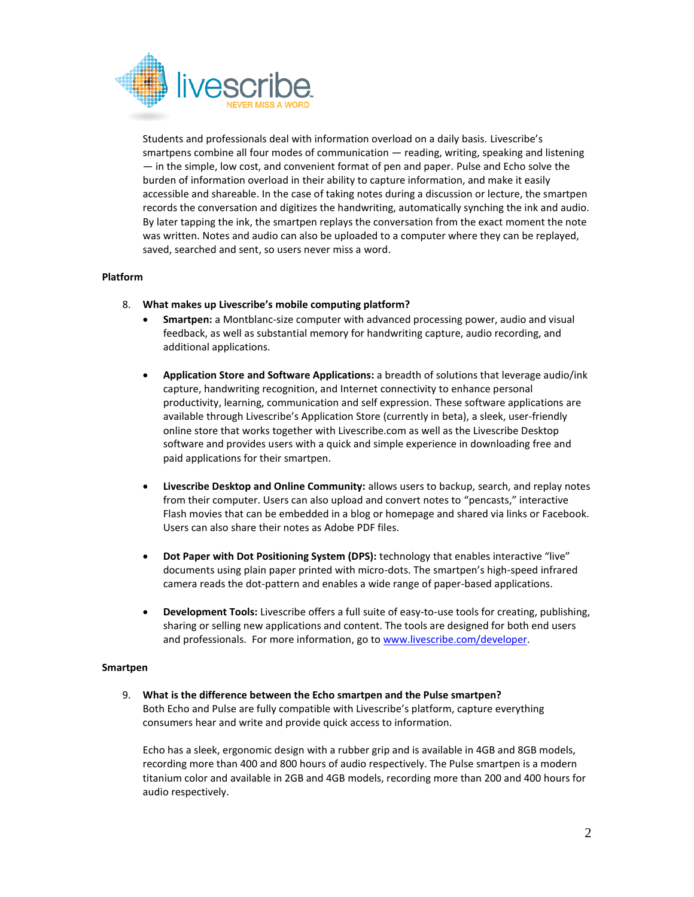

Students and professionals deal with information overload on a daily basis. Livescribe's smartpens combine all four modes of communication — reading, writing, speaking and listening — in the simple, low cost, and convenient format of pen and paper. Pulse and Echo solve the burden of information overload in their ability to capture information, and make it easily accessible and shareable. In the case of taking notes during a discussion or lecture, the smartpen records the conversation and digitizes the handwriting, automatically synching the ink and audio. By later tapping the ink, the smartpen replays the conversation from the exact moment the note was written. Notes and audio can also be uploaded to a computer where they can be replayed, saved, searched and sent, so users never miss a word.

## **Platform**

- 8. **What makes up Livescribe's mobile computing platform?**
	- **Smartpen:** a Montblanc-size computer with advanced processing power, audio and visual feedback, as well as substantial memory for handwriting capture, audio recording, and additional applications.
	- **Application Store and Software Applications:** a breadth of solutions that leverage audio/ink capture, handwriting recognition, and Internet connectivity to enhance personal productivity, learning, communication and self expression. These software applications are available through Livescribe's Application Store (currently in beta), a sleek, user-friendly online store that works together with Livescribe.com as well as the Livescribe Desktop software and provides users with a quick and simple experience in downloading free and paid applications for their smartpen.
	- **Livescribe Desktop and Online Community:** allows users to backup, search, and replay notes from their computer. Users can also upload and convert notes to "pencasts," interactive Flash movies that can be embedded in a blog or homepage and shared via links or Facebook. Users can also share their notes as Adobe PDF files.
	- **•** Dot Paper with Dot Positioning System (DPS): technology that enables interactive "live" documents using plain paper printed with micro-dots. The smartpen's high-speed infrared camera reads the dot-pattern and enables a wide range of paper-based applications.
	- **Development Tools:** Livescribe offers a full suite of easy-to-use tools for creating, publishing, sharing or selling new applications and content. The tools are designed for both end users and professionals. For more information, go to [www.livescribe.com/developer.](http://www.livescribe.com/developer)

## **Smartpen**

9. **What is the difference between the Echo smartpen and the Pulse smartpen?** Both Echo and Pulse are fully compatible with Livescribe's platform, capture everything consumers hear and write and provide quick access to information.

Echo has a sleek, ergonomic design with a rubber grip and is available in 4GB and 8GB models, recording more than 400 and 800 hours of audio respectively. The Pulse smartpen is a modern titanium color and available in 2GB and 4GB models, recording more than 200 and 400 hours for audio respectively.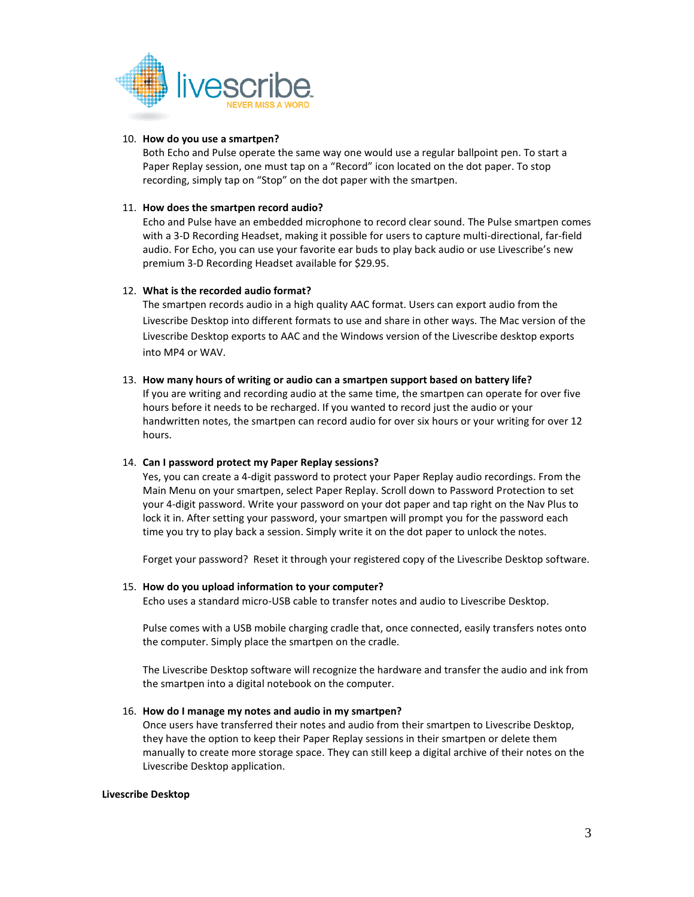

#### 10. **How do you use a smartpen?**

Both Echo and Pulse operate the same way one would use a regular ballpoint pen. To start a Paper Replay session, one must tap on a "Record" icon located on the dot paper. To stop recording, simply tap on "Stop" on the dot paper with the smartpen.

## 11. **How does the smartpen record audio?**

Echo and Pulse have an embedded microphone to record clear sound. The Pulse smartpen comes with a 3-D Recording Headset, making it possible for users to capture multi-directional, far-field audio. For Echo, you can use your favorite ear buds to play back audio or use Livescribe's new premium 3-D Recording Headset available for \$29.95.

## 12. **What is the recorded audio format?**

The smartpen records audio in a high quality AAC format. Users can export audio from the Livescribe Desktop into different formats to use and share in other ways. The Mac version of the Livescribe Desktop exports to AAC and the Windows version of the Livescribe desktop exports into MP4 or WAV.

## 13. **How many hours of writing or audio can a smartpen support based on battery life?**

If you are writing and recording audio at the same time, the smartpen can operate for over five hours before it needs to be recharged. If you wanted to record just the audio or your handwritten notes, the smartpen can record audio for over six hours or your writing for over 12 hours.

## 14. **Can I password protect my Paper Replay sessions?**

Yes, you can create a 4-digit password to protect your Paper Replay audio recordings. From the Main Menu on your smartpen, select Paper Replay. Scroll down to Password Protection to set your 4-digit password. Write your password on your dot paper and tap right on the Nav Plus to lock it in. After setting your password, your smartpen will prompt you for the password each time you try to play back a session. Simply write it on the dot paper to unlock the notes.

Forget your password? Reset it through your registered copy of the Livescribe Desktop software.

#### 15. **How do you upload information to your computer?**

Echo uses a standard micro-USB cable to transfer notes and audio to Livescribe Desktop.

Pulse comes with a USB mobile charging cradle that, once connected, easily transfers notes onto the computer. Simply place the smartpen on the cradle.

The Livescribe Desktop software will recognize the hardware and transfer the audio and ink from the smartpen into a digital notebook on the computer.

#### 16. **How do I manage my notes and audio in my smartpen?**

Once users have transferred their notes and audio from their smartpen to Livescribe Desktop, they have the option to keep their Paper Replay sessions in their smartpen or delete them manually to create more storage space. They can still keep a digital archive of their notes on the Livescribe Desktop application.

#### **Livescribe Desktop**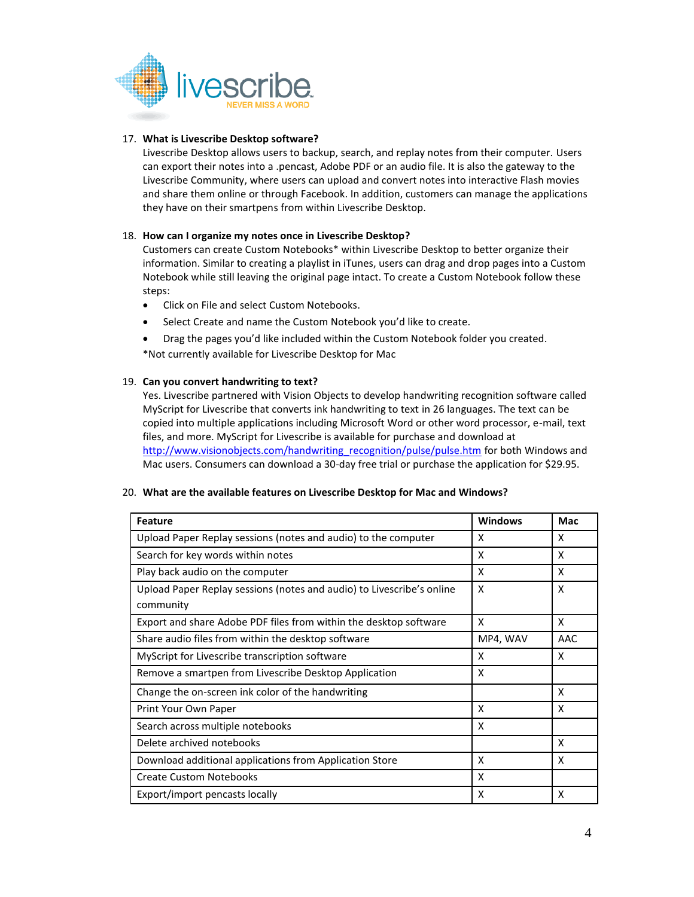

## 17. **What is Livescribe Desktop software?**

Livescribe Desktop allows users to backup, search, and replay notes from their computer. Users can export their notes into a .pencast, Adobe PDF or an audio file. It is also the gateway to the Livescribe Community, where users can upload and convert notes into interactive Flash movies and share them online or through Facebook. In addition, customers can manage the applications they have on their smartpens from within Livescribe Desktop.

## 18. **How can I organize my notes once in Livescribe Desktop?**

Customers can create Custom Notebooks\* within Livescribe Desktop to better organize their information. Similar to creating a playlist in iTunes, users can drag and drop pages into a Custom Notebook while still leaving the original page intact. To create a Custom Notebook follow these steps:

- Click on File and select Custom Notebooks.
- Select Create and name the Custom Notebook you'd like to create.
- Drag the pages you'd like included within the Custom Notebook folder you created.

\*Not currently available for Livescribe Desktop for Mac

## 19. **Can you convert handwriting to text?**

Yes. Livescribe partnered with Vision Objects to develop handwriting recognition software called MyScript for Livescribe that converts ink handwriting to text in 26 languages. The text can be copied into multiple applications including Microsoft Word or other word processor, e-mail, text files, and more. MyScript for Livescribe is available for purchase and download at [http://www.visionobjects.com/handwriting\\_recognition/pulse/pulse.htm](http://www.visionobjects.com/handwriting_recognition/pulse/pulse.htm) for both Windows and Mac users. Consumers can download a 30-day free trial or purchase the application for \$29.95.

#### 20. **What are the available features on Livescribe Desktop for Mac and Windows?**

| <b>Feature</b>                                                        | <b>Windows</b> | Mac |
|-----------------------------------------------------------------------|----------------|-----|
| Upload Paper Replay sessions (notes and audio) to the computer        | x              | X   |
| Search for key words within notes                                     | x              | X   |
| Play back audio on the computer                                       | X              | X   |
| Upload Paper Replay sessions (notes and audio) to Livescribe's online | X              | X   |
| community                                                             |                |     |
| Export and share Adobe PDF files from within the desktop software     | X              | x   |
| Share audio files from within the desktop software                    | MP4, WAV       | AAC |
| MyScript for Livescribe transcription software                        | x              | X   |
| Remove a smartpen from Livescribe Desktop Application                 | X              |     |
| Change the on-screen ink color of the handwriting                     |                | X   |
| Print Your Own Paper                                                  | X              | X   |
| Search across multiple notebooks                                      | X              |     |
| Delete archived notebooks                                             |                | X   |
| Download additional applications from Application Store               | X              | X   |
| <b>Create Custom Notebooks</b>                                        | X              |     |
| Export/import pencasts locally                                        | X              | X   |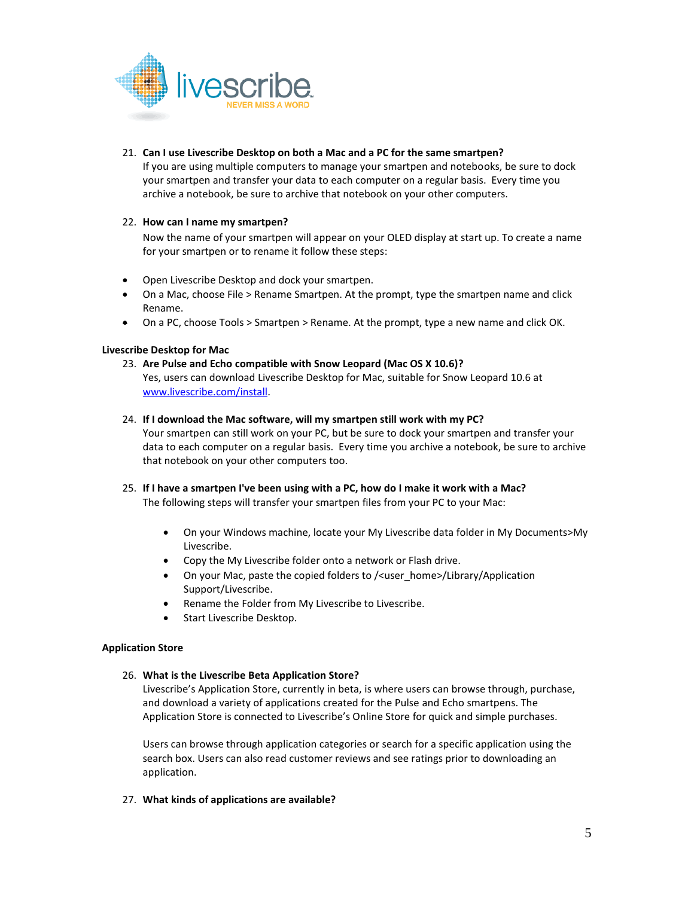

## 21. **Can I use Livescribe Desktop on both a Mac and a PC for the same smartpen?**

If you are using multiple computers to manage your smartpen and notebooks, be sure to dock your smartpen and transfer your data to each computer on a regular basis. Every time you archive a notebook, be sure to archive that notebook on your other computers.

## 22. **How can I name my smartpen?**

Now the name of your smartpen will appear on your OLED display at start up. To create a name for your smartpen or to rename it follow these steps:

- Open Livescribe Desktop and dock your smartpen.
- On a Mac, choose File > Rename Smartpen. At the prompt, type the smartpen name and click Rename.
- On a PC, choose Tools > Smartpen > Rename. At the prompt, type a new name and click OK.

## **Livescribe Desktop for Mac**

23. **Are Pulse and Echo compatible with Snow Leopard (Mac OS X 10.6)?** Yes, users can download Livescribe Desktop for Mac, suitable for Snow Leopard 10.6 at [www.livescribe.com/install.](http://www.livescribe.com/install) 

## 24. **If I download the Mac software, will my smartpen still work with my PC?**

Your smartpen can still work on your PC, but be sure to dock your smartpen and transfer your data to each computer on a regular basis. Every time you archive a notebook, be sure to archive that notebook on your other computers too.

- 25. **If I have a smartpen I've been using with a PC, how do I make it work with a Mac?** The following steps will transfer your smartpen files from your PC to your Mac:
	- On your Windows machine, locate your My Livescribe data folder in My Documents>My Livescribe.
	- Copy the My Livescribe folder onto a network or Flash drive.
	- On your Mac, paste the copied folders to /<user\_home>/Library/Application Support/Livescribe.
	- Rename the Folder from My Livescribe to Livescribe.
	- Start Livescribe Desktop.

## **Application Store**

## 26. **What is the Livescribe Beta Application Store?**

Livescribe's Application Store, currently in beta, is where users can browse through, purchase, and download a variety of applications created for the Pulse and Echo smartpens. The Application Store is connected to Livescribe's Online Store for quick and simple purchases.

Users can browse through application categories or search for a specific application using the search box. Users can also read customer reviews and see ratings prior to downloading an application.

27. **What kinds of applications are available?**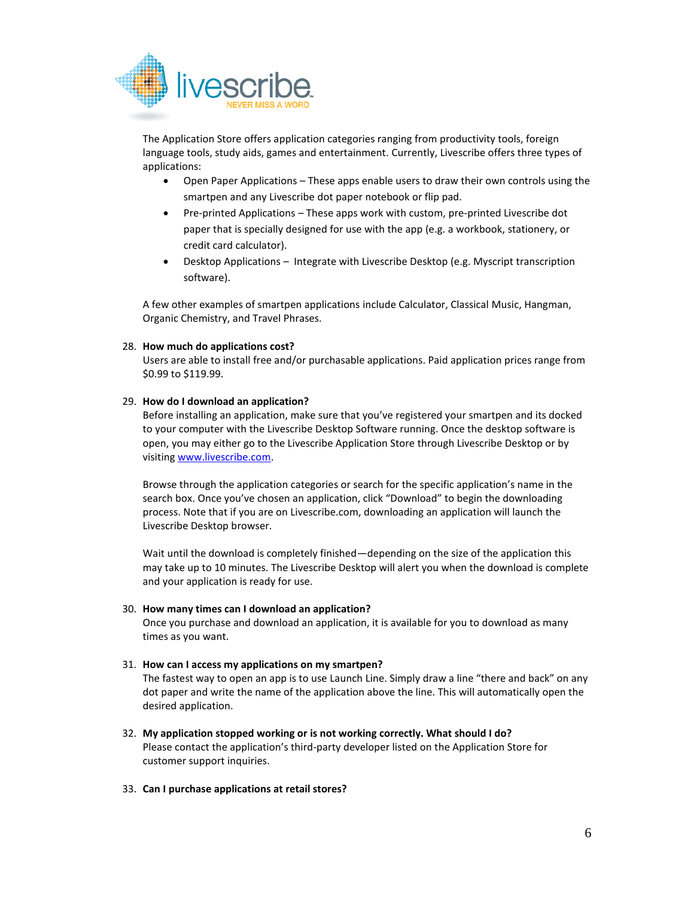

The Application Store offers application categories ranging from productivity tools, foreign language tools, study aids, games and entertainment. Currently, Livescribe offers three types of applications:

- Open Paper Applications These apps enable users to draw their own controls using the smartpen and any Livescribe dot paper notebook or flip pad.
- Pre-printed Applications These apps work with custom, pre-printed Livescribe dot paper that is specially designed for use with the app (e.g. a workbook, stationery, or credit card calculator).
- Desktop Applications Integrate with Livescribe Desktop (e.g. Myscript transcription software).

A few other examples of smartpen applications include Calculator, Classical Music, Hangman, Organic Chemistry, and Travel Phrases.

## 28. **How much do applications cost?**

Users are able to install free and/or purchasable applications. Paid application prices range from \$0.99 to \$119.99.

#### 29. **How do I download an application?**

Before installing an application, make sure that you've registered your smartpen and its docked to your computer with the Livescribe Desktop Software running. Once the desktop software is open, you may either go to the Livescribe Application Store through Livescribe Desktop or by visiting [www.livescribe.com.](http://www.livescribe.com/)

Browse through the application categories or search for the specific application's name in the search box. Once you've chosen an application, click "Download" to begin the downloading process. Note that if you are on Livescribe.com, downloading an application will launch the Livescribe Desktop browser.

Wait until the download is completely finished—depending on the size of the application this may take up to 10 minutes. The Livescribe Desktop will alert you when the download is complete and your application is ready for use.

#### 30. **How many times can I download an application?**

Once you purchase and download an application, it is available for you to download as many times as you want.

## 31. **How can I access my applications on my smartpen?**

The fastest way to open an app is to use Launch Line. Simply draw a line "there and back" on any dot paper and write the name of the application above the line. This will automatically open the desired application.

32. **My application stopped working or is not working correctly. What should I do?** Please contact the application's third-party developer listed on the Application Store for customer support inquiries.

#### 33. **Can I purchase applications at retail stores?**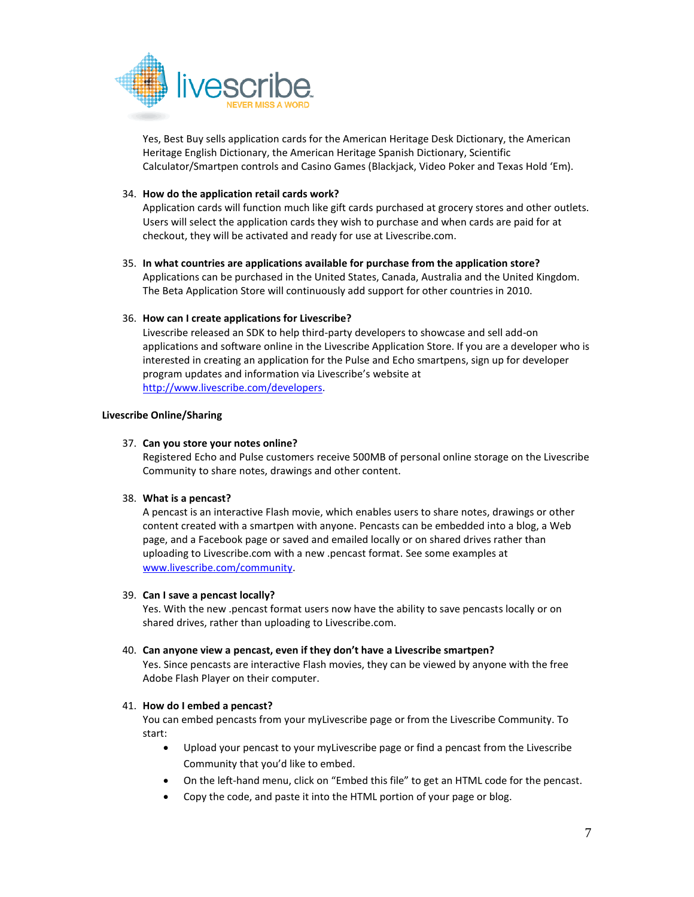

Yes, Best Buy sells application cards for the American Heritage Desk Dictionary, the American Heritage English Dictionary, the American Heritage Spanish Dictionary, Scientific Calculator/Smartpen controls and Casino Games (Blackjack, Video Poker and Texas Hold 'Em).

## 34. **How do the application retail cards work?**

Application cards will function much like gift cards purchased at grocery stores and other outlets. Users will select the application cards they wish to purchase and when cards are paid for at checkout, they will be activated and ready for use at Livescribe.com.

35. **In what countries are applications available for purchase from the application store?** Applications can be purchased in the United States, Canada, Australia and the United Kingdom.

The Beta Application Store will continuously add support for other countries in 2010.

## 36. **How can I create applications for Livescribe?**

Livescribe released an SDK to help third-party developers to showcase and sell add-on applications and software online in the Livescribe Application Store. If you are a developer who is interested in creating an application for the Pulse and Echo smartpens, sign up for developer program updates and information via Livescribe's website at [http://www.livescribe.com/developers.](http://www.livescribe.com/developers)

## **Livescribe Online/Sharing**

## 37. **Can you store your notes online?**

Registered Echo and Pulse customers receive 500MB of personal online storage on the Livescribe Community to share notes, drawings and other content.

## 38. **What is a pencast?**

A pencast is an interactive Flash movie, which enables users to share notes, drawings or other content created with a smartpen with anyone. Pencasts can be embedded into a blog, a Web page, and a Facebook page or saved and emailed locally or on shared drives rather than uploading to Livescribe.com with a new .pencast format. See some examples at [www.livescribe.com/community.](http://www.livescribe.com/community)

#### 39. **Can I save a pencast locally?**

Yes. With the new .pencast format users now have the ability to save pencasts locally or on shared drives, rather than uploading to Livescribe.com.

## 40. **Can anyone view a pencast, even if they don't have a Livescribe smartpen?**

Yes. Since pencasts are interactive Flash movies, they can be viewed by anyone with the free Adobe Flash Player on their computer.

#### 41. **How do I embed a pencast?**

You can embed pencasts from your myLivescribe page or from the Livescribe Community. To start:

- Upload your pencast to your myLivescribe page or find a pencast from the Livescribe Community that you'd like to embed.
- On the left-hand menu, click on "Embed this file" to get an HTML code for the pencast.
- Copy the code, and paste it into the HTML portion of your page or blog.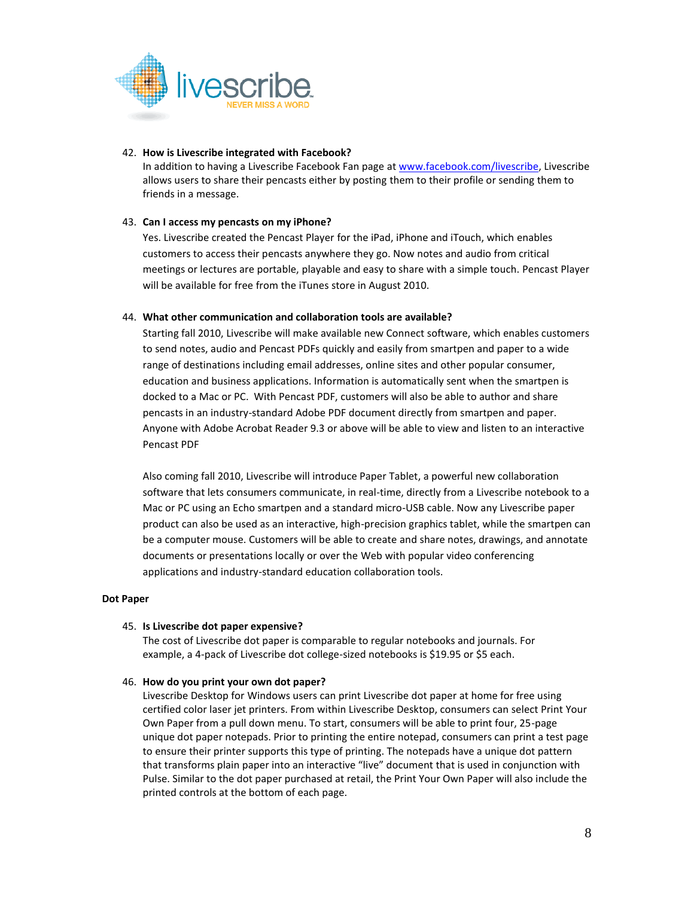

## 42. **How is Livescribe integrated with Facebook?**

In addition to having a Livescribe Facebook Fan page at [www.facebook.com/livescribe,](file:///C:/Documents%20and%20Settings/E013553/Local%20Settings/Temporary%20Internet%20Files/Content.Outlook/0RI27NG0/www.facebook.com/livescribe) Livescribe allows users to share their pencasts either by posting them to their profile or sending them to friends in a message.

## 43. **Can I access my pencasts on my iPhone?**

Yes. Livescribe created the Pencast Player for the iPad, iPhone and iTouch, which enables customers to access their pencasts anywhere they go. Now notes and audio from critical meetings or lectures are portable, playable and easy to share with a simple touch. Pencast Player will be available for free from the iTunes store in August 2010.

## 44. **What other communication and collaboration tools are available?**

Starting fall 2010, Livescribe will make available new Connect software, which enables customers to send notes, audio and Pencast PDFs quickly and easily from smartpen and paper to a wide range of destinations including email addresses, online sites and other popular consumer, education and business applications. Information is automatically sent when the smartpen is docked to a Mac or PC. With Pencast PDF, customers will also be able to author and share pencasts in an industry-standard Adobe PDF document directly from smartpen and paper. Anyone with Adobe Acrobat Reader 9.3 or above will be able to view and listen to an interactive Pencast PDF

Also coming fall 2010, Livescribe will introduce Paper Tablet, a powerful new collaboration software that lets consumers communicate, in real-time, directly from a Livescribe notebook to a Mac or PC using an Echo smartpen and a standard micro-USB cable. Now any Livescribe paper product can also be used as an interactive, high-precision graphics tablet, while the smartpen can be a computer mouse. Customers will be able to create and share notes, drawings, and annotate documents or presentations locally or over the Web with popular video conferencing applications and industry-standard education collaboration tools.

#### **Dot Paper**

#### 45. **Is Livescribe dot paper expensive?**

The cost of Livescribe dot paper is comparable to regular notebooks and journals. For example, a 4-pack of Livescribe dot college-sized notebooks is \$19.95 or \$5 each.

#### 46. **How do you print your own dot paper?**

Livescribe Desktop for Windows users can print Livescribe dot paper at home for free using certified color laser jet printers. From within Livescribe Desktop, consumers can select Print Your Own Paper from a pull down menu. To start, consumers will be able to print four, 25-page unique dot paper notepads. Prior to printing the entire notepad, consumers can print a test page to ensure their printer supports this type of printing. The notepads have a unique dot pattern that transforms plain paper into an interactive "live" document that is used in conjunction with Pulse. Similar to the dot paper purchased at retail, the Print Your Own Paper will also include the printed controls at the bottom of each page.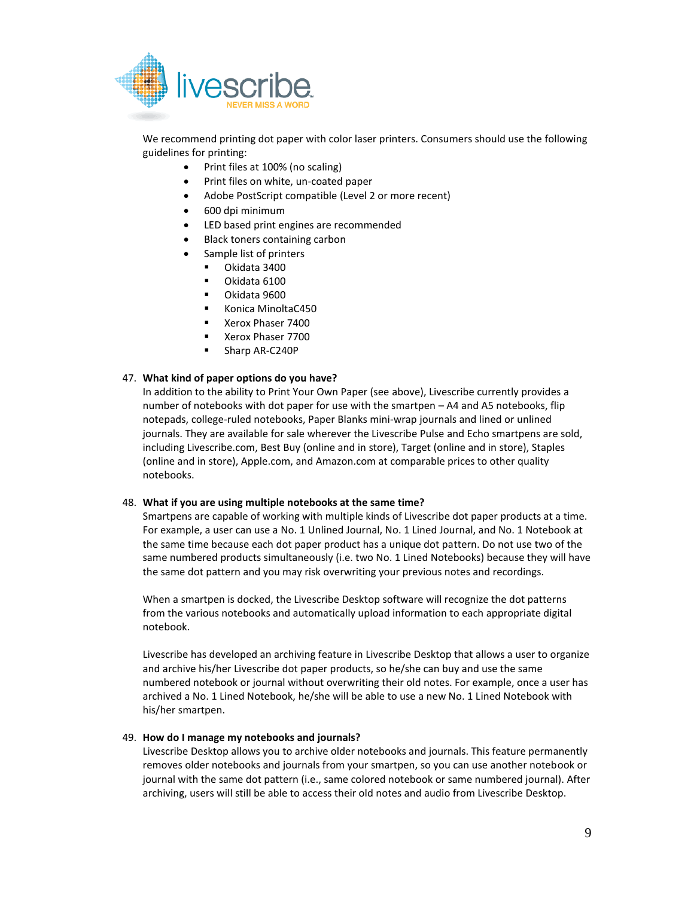

We recommend printing dot paper with color laser printers. Consumers should use the following guidelines for printing:

- Print files at 100% (no scaling)
- Print files on white, un-coated paper
- Adobe PostScript compatible (Level 2 or more recent)
- 600 dpi minimum
- LED based print engines are recommended
- Black toners containing carbon
- Sample list of printers
	- Okidata 3400
	- Okidata 6100
	- Okidata 9600
	- Konica MinoltaC450
	- Xerox Phaser 7400
	- Xerox Phaser 7700
	- Sharp AR-C240P

#### 47. **What kind of paper options do you have?**

In addition to the ability to Print Your Own Paper (see above), Livescribe currently provides a number of notebooks with dot paper for use with the smartpen – A4 and A5 notebooks, flip notepads, college-ruled notebooks, Paper Blanks mini-wrap journals and lined or unlined journals. They are available for sale wherever the Livescribe Pulse and Echo smartpens are sold, including Livescribe.com, Best Buy (online and in store), Target (online and in store), Staples (online and in store), Apple.com, and Amazon.com at comparable prices to other quality notebooks.

#### 48. **What if you are using multiple notebooks at the same time?**

Smartpens are capable of working with multiple kinds of Livescribe dot paper products at a time. For example, a user can use a No. 1 Unlined Journal, No. 1 Lined Journal, and No. 1 Notebook at the same time because each dot paper product has a unique dot pattern. Do not use two of the same numbered products simultaneously (i.e. two No. 1 Lined Notebooks) because they will have the same dot pattern and you may risk overwriting your previous notes and recordings.

When a smartpen is docked, the Livescribe Desktop software will recognize the dot patterns from the various notebooks and automatically upload information to each appropriate digital notebook.

Livescribe has developed an archiving feature in Livescribe Desktop that allows a user to organize and archive his/her Livescribe dot paper products, so he/she can buy and use the same numbered notebook or journal without overwriting their old notes. For example, once a user has archived a No. 1 Lined Notebook, he/she will be able to use a new No. 1 Lined Notebook with his/her smartpen.

#### 49. **How do I manage my notebooks and journals?**

Livescribe Desktop allows you to archive older notebooks and journals. This feature permanently removes older notebooks and journals from your smartpen, so you can use another notebook or journal with the same dot pattern (i.e., same colored notebook or same numbered journal). After archiving, users will still be able to access their old notes and audio from Livescribe Desktop.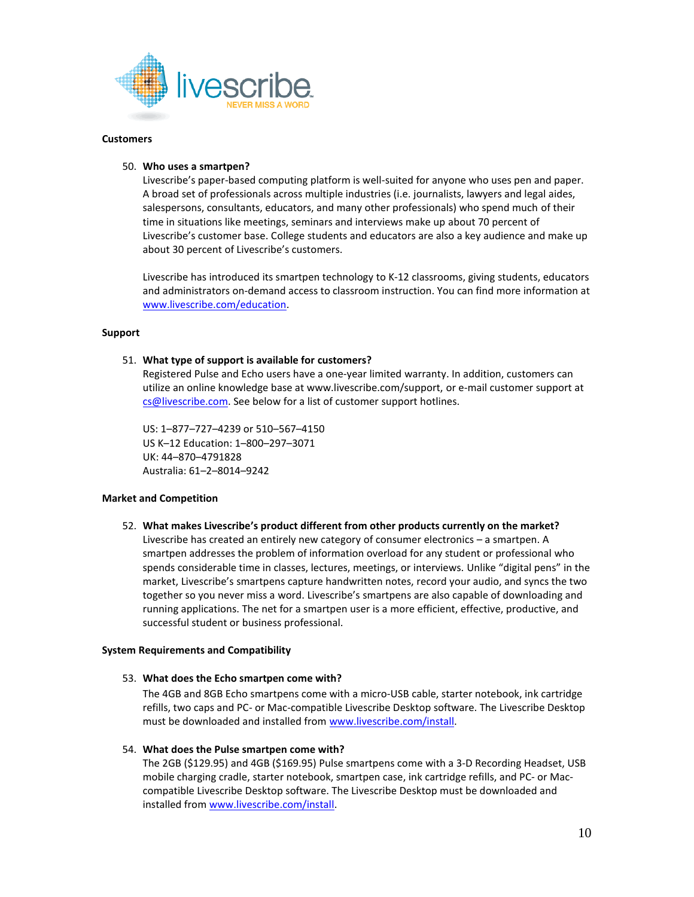

#### **Customers**

#### 50. **Who uses a smartpen?**

Livescribe's paper-based computing platform is well-suited for anyone who uses pen and paper. A broad set of professionals across multiple industries (i.e. journalists, lawyers and legal aides, salespersons, consultants, educators, and many other professionals) who spend much of their time in situations like meetings, seminars and interviews make up about 70 percent of Livescribe's customer base. College students and educators are also a key audience and make up about 30 percent of Livescribe's customers.

Livescribe has introduced its smartpen technology to K-12 classrooms, giving students, educators and administrators on-demand access to classroom instruction. You can find more information at [www.livescribe.com/education.](http://www.livescribe.com/education)

#### **Support**

#### 51. **What type of support is available for customers?**

Registered Pulse and Echo users have a one-year limited warranty. In addition, customers can utilize an online knowledge base at www.livescribe.com/support, or e-mail customer support at [cs@livescribe.com.](mailto:cs@livescribe.com) See below for a list of customer support hotlines.

US: 1–877–727–4239 or 510–567–4150 US K–12 Education: 1–800–297–3071 UK: 44–870–4791828 Australia: 61–2–8014–9242

#### **Market and Competition**

52. **What makes Livescribe's product different from other products currently on the market?**  Livescribe has created an entirely new category of consumer electronics – a smartpen. A smartpen addresses the problem of information overload for any student or professional who spends considerable time in classes, lectures, meetings, or interviews. Unlike "digital pens" in the market, Livescribe's smartpens capture handwritten notes, record your audio, and syncs the two together so you never miss a word. Livescribe's smartpens are also capable of downloading and running applications. The net for a smartpen user is a more efficient, effective, productive, and successful student or business professional.

#### **System Requirements and Compatibility**

#### 53. **What does the Echo smartpen come with?**

The 4GB and 8GB Echo smartpens come with a micro-USB cable, starter notebook, ink cartridge refills, two caps and PC- or Mac-compatible Livescribe Desktop software. The Livescribe Desktop must be downloaded and installed fro[m www.livescribe.com/install.](http://www.livescribe.com/install)

#### 54. **What does the Pulse smartpen come with?**

The 2GB (\$129.95) and 4GB (\$169.95) Pulse smartpens come with a 3-D Recording Headset, USB mobile charging cradle, starter notebook, smartpen case, ink cartridge refills, and PC- or Maccompatible Livescribe Desktop software. The Livescribe Desktop must be downloaded and installed fro[m www.livescribe.com/install.](http://www.livescribe.com/install)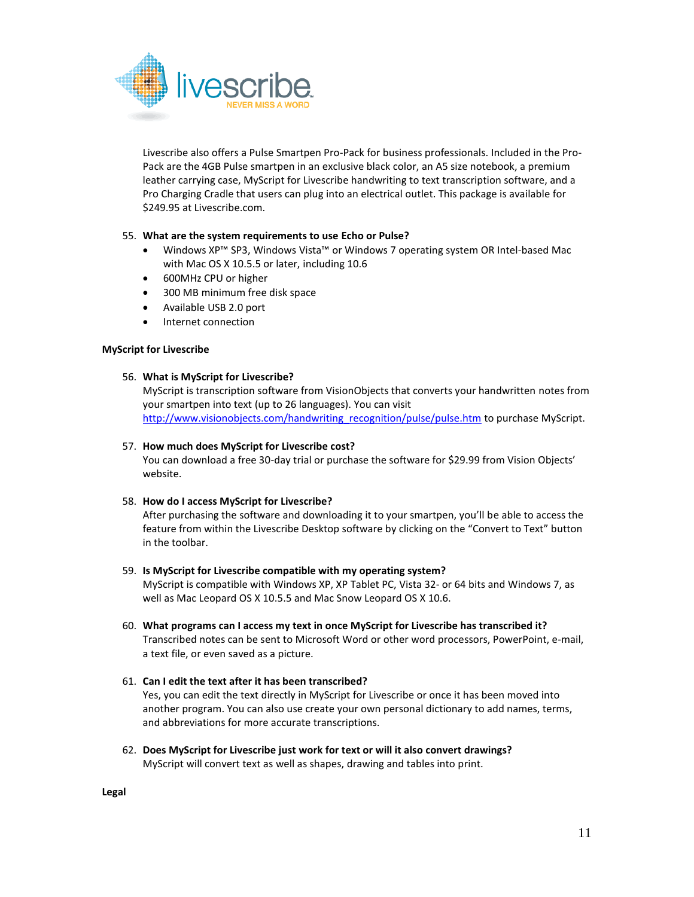

Livescribe also offers a Pulse Smartpen Pro-Pack for business professionals. Included in the Pro-Pack are the 4GB Pulse smartpen in an exclusive black color, an A5 size notebook, a premium leather carrying case, MyScript for Livescribe handwriting to text transcription software, and a Pro Charging Cradle that users can plug into an electrical outlet. This package is available for \$249.95 at Livescribe.com.

## 55. **What are the system requirements to use Echo or Pulse?**

- Windows XP™ SP3, Windows Vista™ or Windows 7 operating system OR Intel-based Mac with Mac OS X 10.5.5 or later, including 10.6
- 600MHz CPU or higher
- 300 MB minimum free disk space
- Available USB 2.0 port
- Internet connection

## **MyScript for Livescribe**

## 56. **What is MyScript for Livescribe?**

MyScript is transcription software from VisionObjects that converts your handwritten notes from your smartpen into text (up to 26 languages). You can visit [http://www.visionobjects.com/handwriting\\_recognition/pulse/pulse.htm](http://www.visionobjects.com/handwriting_recognition/pulse/pulse.htm) to purchase MyScript.

### 57. **How much does MyScript for Livescribe cost?**

You can download a free 30-day trial or purchase the software for \$29.99 from Vision Objects' website.

## 58. **How do I access MyScript for Livescribe?**

After purchasing the software and downloading it to your smartpen, you'll be able to access the feature from within the Livescribe Desktop software by clicking on the "Convert to Text" button in the toolbar.

#### 59. **Is MyScript for Livescribe compatible with my operating system?**

MyScript is compatible with Windows XP, XP Tablet PC, Vista 32- or 64 bits and Windows 7, as well as Mac Leopard OS X 10.5.5 and Mac Snow Leopard OS X 10.6.

60. **What programs can I access my text in once MyScript for Livescribe has transcribed it?** Transcribed notes can be sent to Microsoft Word or other word processors, PowerPoint, e-mail, a text file, or even saved as a picture.

## 61. **Can I edit the text after it has been transcribed?**

Yes, you can edit the text directly in MyScript for Livescribe or once it has been moved into another program. You can also use create your own personal dictionary to add names, terms, and abbreviations for more accurate transcriptions.

62. **Does MyScript for Livescribe just work for text or will it also convert drawings?** MyScript will convert text as well as shapes, drawing and tables into print.

**Legal**